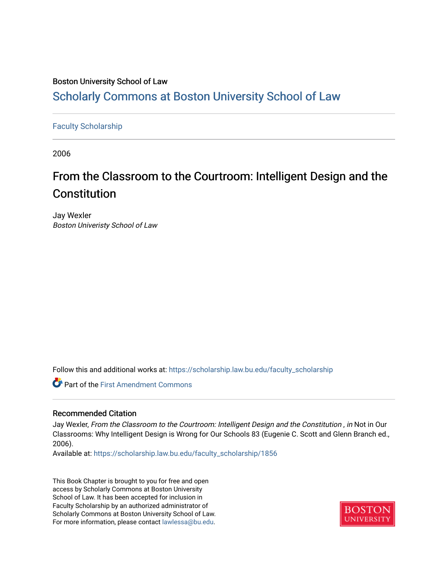## Boston University School of Law [Scholarly Commons at Boston University School of Law](https://scholarship.law.bu.edu/)

### [Faculty Scholarship](https://scholarship.law.bu.edu/faculty_scholarship)

2006

# From the Classroom to the Courtroom: Intelligent Design and the Constitution

Jay Wexler Boston Univeristy School of Law

Follow this and additional works at: [https://scholarship.law.bu.edu/faculty\\_scholarship](https://scholarship.law.bu.edu/faculty_scholarship?utm_source=scholarship.law.bu.edu%2Ffaculty_scholarship%2F1856&utm_medium=PDF&utm_campaign=PDFCoverPages)

Part of the [First Amendment Commons](https://network.bepress.com/hgg/discipline/1115?utm_source=scholarship.law.bu.edu%2Ffaculty_scholarship%2F1856&utm_medium=PDF&utm_campaign=PDFCoverPages) 

### Recommended Citation

Jay Wexler, From the Classroom to the Courtroom: Intelligent Design and the Constitution , in Not in Our Classrooms: Why Intelligent Design is Wrong for Our Schools 83 (Eugenie C. Scott and Glenn Branch ed., 2006).

Available at: [https://scholarship.law.bu.edu/faculty\\_scholarship/1856](https://scholarship.law.bu.edu/faculty_scholarship/1856?utm_source=scholarship.law.bu.edu%2Ffaculty_scholarship%2F1856&utm_medium=PDF&utm_campaign=PDFCoverPages)

This Book Chapter is brought to you for free and open access by Scholarly Commons at Boston University School of Law. It has been accepted for inclusion in Faculty Scholarship by an authorized administrator of Scholarly Commons at Boston University School of Law. For more information, please contact [lawlessa@bu.edu](mailto:lawlessa@bu.edu).

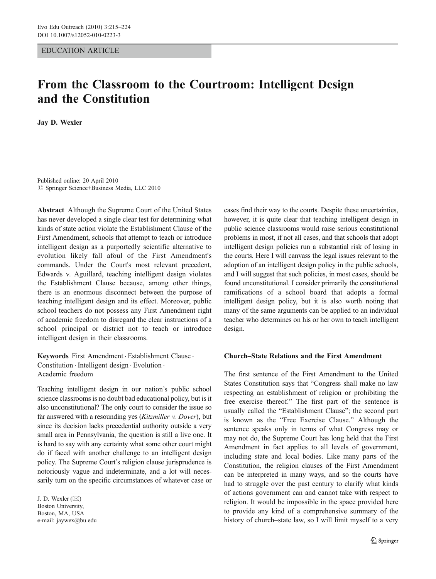EDUCATION ARTICLE

## From the Classroom to the Courtroom: Intelligent Design and the Constitution

Jay D. Wexler

Published online: 20 April 2010  $©$  Springer Science+Business Media, LLC 2010

Abstract Although the Supreme Court of the United States has never developed a single clear test for determining what kinds of state action violate the Establishment Clause of the First Amendment, schools that attempt to teach or introduce intelligent design as a purportedly scientific alternative to evolution likely fall afoul of the First Amendment's commands. Under the Court's most relevant precedent, Edwards v. Aguillard, teaching intelligent design violates the Establishment Clause because, among other things, there is an enormous disconnect between the purpose of teaching intelligent design and its effect. Moreover, public school teachers do not possess any First Amendment right of academic freedom to disregard the clear instructions of a school principal or district not to teach or introduce intelligent design in their classrooms.

Keywords First Amendment . Establishment Clause . Constitution . Intelligent design . Evolution . Academic freedom

Teaching intelligent design in our nation's public school science classrooms is no doubt bad educational policy, but is it also unconstitutional? The only court to consider the issue so far answered with a resounding yes (Kitzmiller v. Dover), but since its decision lacks precedential authority outside a very small area in Pennsylvania, the question is still a live one. It is hard to say with any certainty what some other court might do if faced with another challenge to an intelligent design policy. The Supreme Court's religion clause jurisprudence is notoriously vague and indeterminate, and a lot will necessarily turn on the specific circumstances of whatever case or

J. D. Wexler  $(\boxtimes)$ Boston University, Boston, MA, USA e-mail: jaywex@bu.edu cases find their way to the courts. Despite these uncertainties, however, it is quite clear that teaching intelligent design in public science classrooms would raise serious constitutional problems in most, if not all cases, and that schools that adopt intelligent design policies run a substantial risk of losing in the courts. Here I will canvass the legal issues relevant to the adoption of an intelligent design policy in the public schools, and I will suggest that such policies, in most cases, should be found unconstitutional. I consider primarily the constitutional ramifications of a school board that adopts a formal intelligent design policy, but it is also worth noting that many of the same arguments can be applied to an individual teacher who determines on his or her own to teach intelligent design.

#### Church–State Relations and the First Amendment

The first sentence of the First Amendment to the United States Constitution says that "Congress shall make no law respecting an establishment of religion or prohibiting the free exercise thereof." The first part of the sentence is usually called the "Establishment Clause"; the second part is known as the "Free Exercise Clause." Although the sentence speaks only in terms of what Congress may or may not do, the Supreme Court has long held that the First Amendment in fact applies to all levels of government, including state and local bodies. Like many parts of the Constitution, the religion clauses of the First Amendment can be interpreted in many ways, and so the courts have had to struggle over the past century to clarify what kinds of actions government can and cannot take with respect to religion. It would be impossible in the space provided here to provide any kind of a comprehensive summary of the history of church–state law, so I will limit myself to a very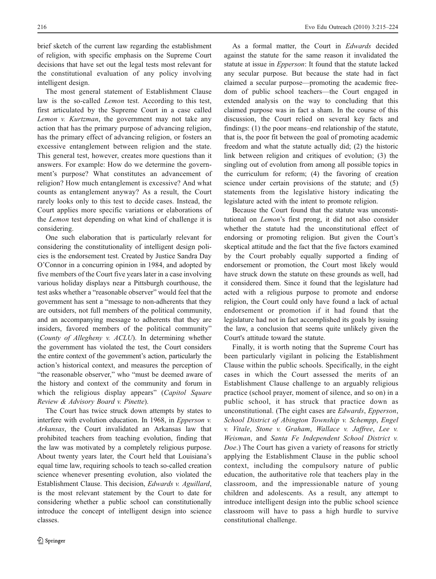brief sketch of the current law regarding the establishment of religion, with specific emphasis on the Supreme Court decisions that have set out the legal tests most relevant for the constitutional evaluation of any policy involving intelligent design.

The most general statement of Establishment Clause law is the so-called Lemon test. According to this test, first articulated by the Supreme Court in a case called Lemon v. Kurtzman, the government may not take any action that has the primary purpose of advancing religion, has the primary effect of advancing religion, or fosters an excessive entanglement between religion and the state. This general test, however, creates more questions than it answers. For example: How do we determine the government's purpose? What constitutes an advancement of religion? How much entanglement is excessive? And what counts as entanglement anyway? As a result, the Court rarely looks only to this test to decide cases. Instead, the Court applies more specific variations or elaborations of the Lemon test depending on what kind of challenge it is considering.

One such elaboration that is particularly relevant for considering the constitutionality of intelligent design policies is the endorsement test. Created by Justice Sandra Day O'Connor in a concurring opinion in 1984, and adopted by five members of the Court five years later in a case involving various holiday displays near a Pittsburgh courthouse, the test asks whether a "reasonable observer" would feel that the government has sent a "message to non-adherents that they are outsiders, not full members of the political community, and an accompanying message to adherents that they are insiders, favored members of the political community" (County of Allegheny v. ACLU). In determining whether the government has violated the test, the Court considers the entire context of the government's action, particularly the action's historical context, and measures the perception of "the reasonable observer," who "must be deemed aware of the history and context of the community and forum in which the religious display appears" (Capitol Square Review & Advisory Board v. Pinette).

The Court has twice struck down attempts by states to interfere with evolution education. In 1968, in Epperson v. Arkansas, the Court invalidated an Arkansas law that prohibited teachers from teaching evolution, finding that the law was motivated by a completely religious purpose. About twenty years later, the Court held that Louisiana's equal time law, requiring schools to teach so-called creation science whenever presenting evolution, also violated the Establishment Clause. This decision, Edwards v. Aguillard, is the most relevant statement by the Court to date for considering whether a public school can constitutionally introduce the concept of intelligent design into science classes.

As a formal matter, the Court in Edwards decided against the statute for the same reason it invalidated the statute at issue in Epperson: It found that the statute lacked any secular purpose. But because the state had in fact claimed a secular purpose—promoting the academic freedom of public school teachers—the Court engaged in extended analysis on the way to concluding that this claimed purpose was in fact a sham. In the course of this discussion, the Court relied on several key facts and findings: (1) the poor means–end relationship of the statute, that is, the poor fit between the goal of promoting academic freedom and what the statute actually did; (2) the historic link between religion and critiques of evolution; (3) the singling out of evolution from among all possible topics in the curriculum for reform; (4) the favoring of creation science under certain provisions of the statute; and (5) statements from the legislative history indicating the legislature acted with the intent to promote religion.

Because the Court found that the statute was unconstitutional on Lemon's first prong, it did not also consider whether the statute had the unconstitutional effect of endorsing or promoting religion. But given the Court's skeptical attitude and the fact that the five factors examined by the Court probably equally supported a finding of endorsement or promotion, the Court most likely would have struck down the statute on these grounds as well, had it considered them. Since it found that the legislature had acted with a religious purpose to promote and endorse religion, the Court could only have found a lack of actual endorsement or promotion if it had found that the legislature had not in fact accomplished its goals by issuing the law, a conclusion that seems quite unlikely given the Court's attitude toward the statute.

Finally, it is worth noting that the Supreme Court has been particularly vigilant in policing the Establishment Clause within the public schools. Specifically, in the eight cases in which the Court assessed the merits of an Establishment Clause challenge to an arguably religious practice (school prayer, moment of silence, and so on) in a public school, it has struck that practice down as unconstitutional. (The eight cases are Edwards, Epperson, School District of Abington Township v. Schempp, Engel v. Vitale, Stone v. Graham, Wallace v. Jaffree, Lee v. Weisman, and Santa Fe Independent School District v. Doe.) The Court has given a variety of reasons for strictly applying the Establishment Clause in the public school context, including the compulsory nature of public education, the authoritative role that teachers play in the classroom, and the impressionable nature of young children and adolescents. As a result, any attempt to introduce intelligent design into the public school science classroom will have to pass a high hurdle to survive constitutional challenge.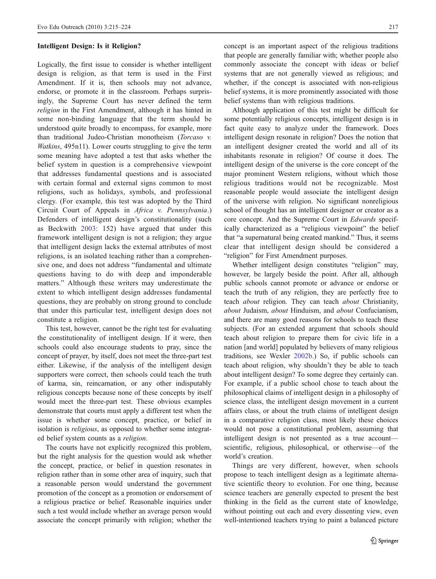#### Intelligent Design: Is it Religion?

Logically, the first issue to consider is whether intelligent design is religion, as that term is used in the First Amendment. If it is, then schools may not advance, endorse, or promote it in the classroom. Perhaps surprisingly, the Supreme Court has never defined the term religion in the First Amendment, although it has hinted in some non-binding language that the term should be understood quite broadly to encompass, for example, more than traditional Judeo-Christian monotheism (Torcaso v. Watkins, 495n11). Lower courts struggling to give the term some meaning have adopted a test that asks whether the belief system in question is a comprehensive viewpoint that addresses fundamental questions and is associated with certain formal and external signs common to most religions, such as holidays, symbols, and professional clergy. (For example, this test was adopted by the Third Circuit Court of Appeals in Africa v. Pennsylvania.) Defenders of intelligent design's constitutionality (such as Beckwith 2003: 152) have argued that under this framework intelligent design is not a religion; they argue that intelligent design lacks the external attributes of most religions, is an isolated teaching rather than a comprehensive one, and does not address "fundamental and ultimate questions having to do with deep and imponderable matters." Although these writers may underestimate the extent to which intelligent design addresses fundamental questions, they are probably on strong ground to conclude that under this particular test, intelligent design does not constitute a religion.

This test, however, cannot be the right test for evaluating the constitutionality of intelligent design. If it were, then schools could also encourage students to pray, since the concept of prayer, by itself, does not meet the three-part test either. Likewise, if the analysis of the intelligent design supporters were correct, then schools could teach the truth of karma, sin, reincarnation, or any other indisputably religious concepts because none of these concepts by itself would meet the three-part test. These obvious examples demonstrate that courts must apply a different test when the issue is whether some concept, practice, or belief in isolation is religious, as opposed to whether some integrated belief system counts as a religion.

The courts have not explicitly recognized this problem, but the right analysis for the question would ask whether the concept, practice, or belief in question resonates in religion rather than in some other area of inquiry, such that a reasonable person would understand the government promotion of the concept as a promotion or endorsement of a religious practice or belief. Reasonable inquiries under such a test would include whether an average person would associate the concept primarily with religion; whether the

concept is an important aspect of the religious traditions that people are generally familiar with; whether people also commonly associate the concept with ideas or belief systems that are not generally viewed as religious; and whether, if the concept is associated with non-religious belief systems, it is more prominently associated with those belief systems than with religious traditions.

Although application of this test might be difficult for some potentially religious concepts, intelligent design is in fact quite easy to analyze under the framework. Does intelligent design resonate in religion? Does the notion that an intelligent designer created the world and all of its inhabitants resonate in religion? Of course it does. The intelligent design of the universe is the core concept of the major prominent Western religions, without which those religious traditions would not be recognizable. Most reasonable people would associate the intelligent design of the universe with religion. No significant nonreligious school of thought has an intelligent designer or creator as a core concept. And the Supreme Court in Edwards specifically characterized as a "religious viewpoint" the belief that "a supernatural being created mankind." Thus, it seems clear that intelligent design should be considered a "religion" for First Amendment purposes.

Whether intelligent design constitutes "religion" may, however, be largely beside the point. After all, although public schools cannot promote or advance or endorse or teach the truth of any religion, they are perfectly free to teach about religion. They can teach about Christianity, about Judaism, about Hinduism, and about Confucianism, and there are many good reasons for schools to teach these subjects. (For an extended argument that schools should teach about religion to prepare them for civic life in a nation [and world] populated by believers of many religious traditions, see Wexler 2002b.) So, if public schools can teach about religion, why shouldn't they be able to teach about intelligent design? To some degree they certainly can. For example, if a public school chose to teach about the philosophical claims of intelligent design in a philosophy of science class, the intelligent design movement in a current affairs class, or about the truth claims of intelligent design in a comparative religion class, most likely these choices would not pose a constitutional problem, assuming that intelligent design is not presented as a true account scientific, religious, philosophical, or otherwise—of the world's creation.

Things are very different, however, when schools propose to teach intelligent design as a legitimate alternative scientific theory to evolution. For one thing, because science teachers are generally expected to present the best thinking in the field as the current state of knowledge, without pointing out each and every dissenting view, even well-intentioned teachers trying to paint a balanced picture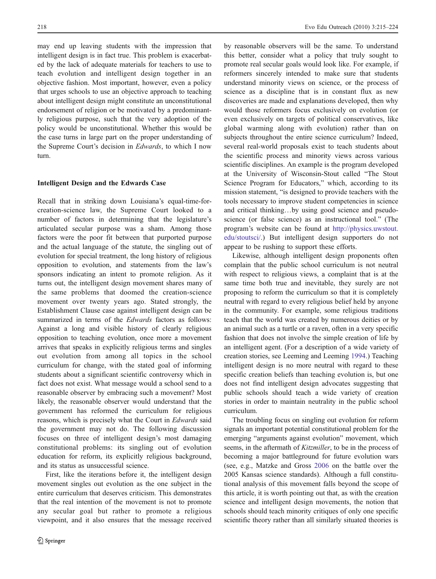may end up leaving students with the impression that intelligent design is in fact true. This problem is exacerbated by the lack of adequate materials for teachers to use to teach evolution and intelligent design together in an objective fashion. Most important, however, even a policy that urges schools to use an objective approach to teaching about intelligent design might constitute an unconstitutional endorsement of religion or be motivated by a predominantly religious purpose, such that the very adoption of the policy would be unconstitutional. Whether this would be the case turns in large part on the proper understanding of the Supreme Court's decision in Edwards, to which I now turn.

#### Intelligent Design and the Edwards Case

Recall that in striking down Louisiana's equal-time-forcreation-science law, the Supreme Court looked to a number of factors in determining that the legislature's articulated secular purpose was a sham. Among those factors were the poor fit between that purported purpose and the actual language of the statute, the singling out of evolution for special treatment, the long history of religious opposition to evolution, and statements from the law's sponsors indicating an intent to promote religion. As it turns out, the intelligent design movement shares many of the same problems that doomed the creation-science movement over twenty years ago. Stated strongly, the Establishment Clause case against intelligent design can be summarized in terms of the Edwards factors as follows: Against a long and visible history of clearly religious opposition to teaching evolution, once more a movement arrives that speaks in explicitly religious terms and singles out evolution from among all topics in the school curriculum for change, with the stated goal of informing students about a significant scientific controversy which in fact does not exist. What message would a school send to a reasonable observer by embracing such a movement? Most likely, the reasonable observer would understand that the government has reformed the curriculum for religious reasons, which is precisely what the Court in Edwards said the government may not do. The following discussion focuses on three of intelligent design's most damaging constitutional problems: its singling out of evolution education for reform, its explicitly religious background, and its status as unsuccessful science.

First, like the iterations before it, the intelligent design movement singles out evolution as the one subject in the entire curriculum that deserves criticism. This demonstrates that the real intention of the movement is not to promote any secular goal but rather to promote a religious viewpoint, and it also ensures that the message received by reasonable observers will be the same. To understand this better, consider what a policy that truly sought to promote real secular goals would look like. For example, if reformers sincerely intended to make sure that students understand minority views on science, or the process of science as a discipline that is in constant flux as new discoveries are made and explanations developed, then why would those reformers focus exclusively on evolution (or even exclusively on targets of political conservatives, like global warming along with evolution) rather than on subjects throughout the entire science curriculum? Indeed, several real-world proposals exist to teach students about the scientific process and minority views across various scientific disciplines. An example is the program developed at the University of Wisconsin-Stout called "The Stout Science Program for Educators," which, according to its mission statement, "is designed to provide teachers with the tools necessary to improve student competencies in science and critical thinking…by using good science and pseudoscience (or false science) as an instructional tool." (The program's website can be found at http://physics.uwstout. edu/stoutsci/.) But intelligent design supporters do not appear to be rushing to support these efforts.

Likewise, although intelligent design proponents often complain that the public school curriculum is not neutral with respect to religious views, a complaint that is at the same time both true and inevitable, they surely are not proposing to reform the curriculum so that it is completely neutral with regard to every religious belief held by anyone in the community. For example, some religious traditions teach that the world was created by numerous deities or by an animal such as a turtle or a raven, often in a very specific fashion that does not involve the simple creation of life by an intelligent agent. (For a description of a wide variety of creation stories, see Leeming and Leeming 1994.) Teaching intelligent design is no more neutral with regard to these specific creation beliefs than teaching evolution is, but one does not find intelligent design advocates suggesting that public schools should teach a wide variety of creation stories in order to maintain neutrality in the public school curriculum.

The troubling focus on singling out evolution for reform signals an important potential constitutional problem for the emerging "arguments against evolution" movement, which seems, in the aftermath of Kitzmiller, to be in the process of becoming a major battleground for future evolution wars (see, e.g., Matzke and Gross 2006 on the battle over the 2005 Kansas science standards). Although a full constitutional analysis of this movement falls beyond the scope of this article, it is worth pointing out that, as with the creation science and intelligent design movements, the notion that schools should teach minority critiques of only one specific scientific theory rather than all similarly situated theories is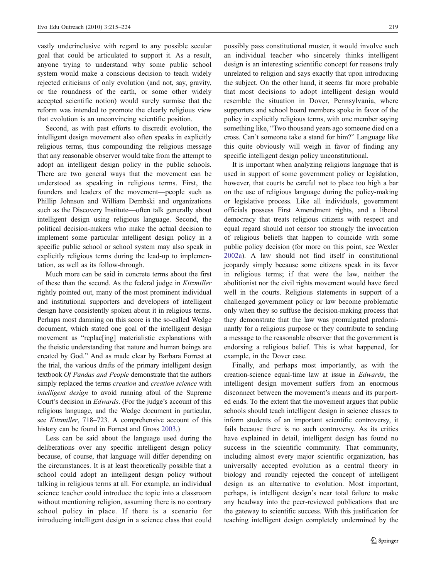vastly underinclusive with regard to any possible secular goal that could be articulated to support it. As a result, anyone trying to understand why some public school system would make a conscious decision to teach widely rejected criticisms of only evolution (and not, say, gravity, or the roundness of the earth, or some other widely accepted scientific notion) would surely surmise that the reform was intended to promote the clearly religious view that evolution is an unconvincing scientific position.

Second, as with past efforts to discredit evolution, the intelligent design movement also often speaks in explicitly religious terms, thus compounding the religious message that any reasonable observer would take from the attempt to adopt an intelligent design policy in the public schools. There are two general ways that the movement can be understood as speaking in religious terms. First, the founders and leaders of the movement—people such as Phillip Johnson and William Dembski and organizations such as the Discovery Institute—often talk generally about intelligent design using religious language. Second, the political decision-makers who make the actual decision to implement some particular intelligent design policy in a specific public school or school system may also speak in explicitly religious terms during the lead-up to implementation, as well as its follow-through.

Much more can be said in concrete terms about the first of these than the second. As the federal judge in Kitzmiller rightly pointed out, many of the most prominent individual and institutional supporters and developers of intelligent design have consistently spoken about it in religious terms. Perhaps most damning on this score is the so-called Wedge document, which stated one goal of the intelligent design movement as "replac<sup>[ing]</sup> materialistic explanations with the theistic understanding that nature and human beings are created by God." And as made clear by Barbara Forrest at the trial, the various drafts of the primary intelligent design textbook Of Pandas and People demonstrate that the authors simply replaced the terms *creation* and *creation science* with intelligent design to avoid running afoul of the Supreme Court's decision in Edwards. (For the judge's account of this religious language, and the Wedge document in particular, see Kitzmiller, 718–723. A comprehensive account of this history can be found in Forrest and Gross 2003.)

Less can be said about the language used during the deliberations over any specific intelligent design policy because, of course, that language will differ depending on the circumstances. It is at least theoretically possible that a school could adopt an intelligent design policy without talking in religious terms at all. For example, an individual science teacher could introduce the topic into a classroom without mentioning religion, assuming there is no contrary school policy in place. If there is a scenario for introducing intelligent design in a science class that could

possibly pass constitutional muster, it would involve such an individual teacher who sincerely thinks intelligent design is an interesting scientific concept for reasons truly unrelated to religion and says exactly that upon introducing the subject. On the other hand, it seems far more probable that most decisions to adopt intelligent design would resemble the situation in Dover, Pennsylvania, where supporters and school board members spoke in favor of the policy in explicitly religious terms, with one member saying something like, "Two thousand years ago someone died on a cross. Can't someone take a stand for him?" Language like this quite obviously will weigh in favor of finding any specific intelligent design policy unconstitutional.

It is important when analyzing religious language that is used in support of some government policy or legislation, however, that courts be careful not to place too high a bar on the use of religious language during the policy-making or legislative process. Like all individuals, government officials possess First Amendment rights, and a liberal democracy that treats religious citizens with respect and equal regard should not censor too strongly the invocation of religious beliefs that happen to coincide with some public policy decision (for more on this point, see Wexler 2002a). A law should not find itself in constitutional jeopardy simply because some citizens speak in its favor in religious terms; if that were the law, neither the abolitionist nor the civil rights movement would have fared well in the courts. Religious statements in support of a challenged government policy or law become problematic only when they so suffuse the decision-making process that they demonstrate that the law was promulgated predominantly for a religious purpose or they contribute to sending a message to the reasonable observer that the government is endorsing a religious belief. This is what happened, for example, in the Dover case.

Finally, and perhaps most importantly, as with the creation-science equal-time law at issue in Edwards, the intelligent design movement suffers from an enormous disconnect between the movement's means and its purported ends. To the extent that the movement argues that public schools should teach intelligent design in science classes to inform students of an important scientific controversy, it fails because there is no such controversy. As its critics have explained in detail, intelligent design has found no success in the scientific community. That community, including almost every major scientific organization, has universally accepted evolution as a central theory in biology and roundly rejected the concept of intelligent design as an alternative to evolution. Most important, perhaps, is intelligent design's near total failure to make any headway into the peer-reviewed publications that are the gateway to scientific success. With this justification for teaching intelligent design completely undermined by the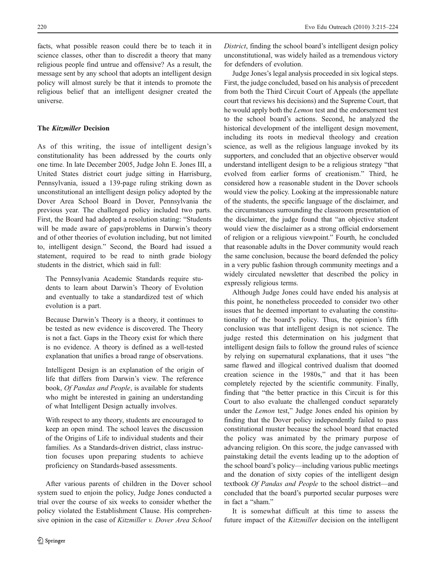facts, what possible reason could there be to teach it in science classes, other than to discredit a theory that many religious people find untrue and offensive? As a result, the message sent by any school that adopts an intelligent design policy will almost surely be that it intends to promote the religious belief that an intelligent designer created the universe.

#### The Kitzmiller Decision

As of this writing, the issue of intelligent design's constitutionality has been addressed by the courts only one time. In late December 2005, Judge John E. Jones III, a United States district court judge sitting in Harrisburg, Pennsylvania, issued a 139-page ruling striking down as unconstitutional an intelligent design policy adopted by the Dover Area School Board in Dover, Pennsylvania the previous year. The challenged policy included two parts. First, the Board had adopted a resolution stating: "Students will be made aware of gaps/problems in Darwin's theory and of other theories of evolution including, but not limited to, intelligent design." Second, the Board had issued a statement, required to be read to ninth grade biology students in the district, which said in full:

The Pennsylvania Academic Standards require students to learn about Darwin's Theory of Evolution and eventually to take a standardized test of which evolution is a part.

Because Darwin's Theory is a theory, it continues to be tested as new evidence is discovered. The Theory is not a fact. Gaps in the Theory exist for which there is no evidence. A theory is defined as a well-tested explanation that unifies a broad range of observations.

Intelligent Design is an explanation of the origin of life that differs from Darwin's view. The reference book, Of Pandas and People, is available for students who might be interested in gaining an understanding of what Intelligent Design actually involves.

With respect to any theory, students are encouraged to keep an open mind. The school leaves the discussion of the Origins of Life to individual students and their families. As a Standards-driven district, class instruction focuses upon preparing students to achieve proficiency on Standards-based assessments.

After various parents of children in the Dover school system sued to enjoin the policy, Judge Jones conducted a trial over the course of six weeks to consider whether the policy violated the Establishment Clause. His comprehensive opinion in the case of Kitzmiller v. Dover Area School District, finding the school board's intelligent design policy unconstitutional, was widely hailed as a tremendous victory for defenders of evolution.

Judge Jones's legal analysis proceeded in six logical steps. First, the judge concluded, based on his analysis of precedent from both the Third Circuit Court of Appeals (the appellate court that reviews his decisions) and the Supreme Court, that he would apply both the Lemon test and the endorsement test to the school board's actions. Second, he analyzed the historical development of the intelligent design movement, including its roots in medieval theology and creation science, as well as the religious language invoked by its supporters, and concluded that an objective observer would understand intelligent design to be a religious strategy "that evolved from earlier forms of creationism." Third, he considered how a reasonable student in the Dover schools would view the policy. Looking at the impressionable nature of the students, the specific language of the disclaimer, and the circumstances surrounding the classroom presentation of the disclaimer, the judge found that "an objective student would view the disclaimer as a strong official endorsement of religion or a religious viewpoint." Fourth, he concluded that reasonable adults in the Dover community would reach the same conclusion, because the board defended the policy in a very public fashion through community meetings and a widely circulated newsletter that described the policy in expressly religious terms.

Although Judge Jones could have ended his analysis at this point, he nonetheless proceeded to consider two other issues that he deemed important to evaluating the constitutionality of the board's policy. Thus, the opinion's fifth conclusion was that intelligent design is not science. The judge rested this determination on his judgment that intelligent design fails to follow the ground rules of science by relying on supernatural explanations, that it uses "the same flawed and illogical contrived dualism that doomed creation science in the 1980s," and that it has been completely rejected by the scientific community. Finally, finding that "the better practice in this Circuit is for this Court to also evaluate the challenged conduct separately under the Lemon test," Judge Jones ended his opinion by finding that the Dover policy independently failed to pass constitutional muster because the school board that enacted the policy was animated by the primary purpose of advancing religion. On this score, the judge canvassed with painstaking detail the events leading up to the adoption of the school board's policy—including various public meetings and the donation of sixty copies of the intelligent design textbook Of Pandas and People to the school district—and concluded that the board's purported secular purposes were in fact a "sham."

It is somewhat difficult at this time to assess the future impact of the Kitzmiller decision on the intelligent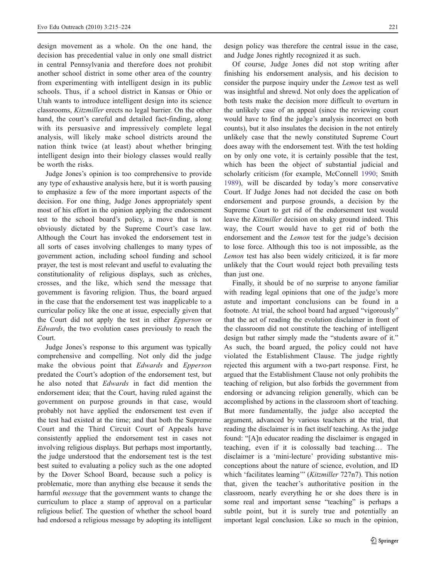design movement as a whole. On the one hand, the decision has precedential value in only one small district in central Pennsylvania and therefore does not prohibit another school district in some other area of the country from experimenting with intelligent design in its public schools. Thus, if a school district in Kansas or Ohio or Utah wants to introduce intelligent design into its science classrooms, Kitzmiller erects no legal barrier. On the other hand, the court's careful and detailed fact-finding, along with its persuasive and impressively complete legal analysis, will likely make school districts around the nation think twice (at least) about whether bringing intelligent design into their biology classes would really be worth the risks.

Judge Jones's opinion is too comprehensive to provide any type of exhaustive analysis here, but it is worth pausing to emphasize a few of the more important aspects of the decision. For one thing, Judge Jones appropriately spent most of his effort in the opinion applying the endorsement test to the school board's policy, a move that is not obviously dictated by the Supreme Court's case law. Although the Court has invoked the endorsement test in all sorts of cases involving challenges to many types of government action, including school funding and school prayer, the test is most relevant and useful to evaluating the constitutionality of religious displays, such as crèches, crosses, and the like, which send the message that government is favoring religion. Thus, the board argued in the case that the endorsement test was inapplicable to a curricular policy like the one at issue, especially given that the Court did not apply the test in either Epperson or Edwards, the two evolution cases previously to reach the Court.

Judge Jones's response to this argument was typically comprehensive and compelling. Not only did the judge make the obvious point that Edwards and Epperson predated the Court's adoption of the endorsement test, but he also noted that Edwards in fact did mention the endorsement idea; that the Court, having ruled against the government on purpose grounds in that case, would probably not have applied the endorsement test even if the test had existed at the time; and that both the Supreme Court and the Third Circuit Court of Appeals have consistently applied the endorsement test in cases not involving religious displays. But perhaps most importantly, the judge understood that the endorsement test is the test best suited to evaluating a policy such as the one adopted by the Dover School Board, because such a policy is problematic, more than anything else because it sends the harmful message that the government wants to change the curriculum to place a stamp of approval on a particular religious belief. The question of whether the school board had endorsed a religious message by adopting its intelligent

design policy was therefore the central issue in the case, and Judge Jones rightly recognized it as such.

Of course, Judge Jones did not stop writing after finishing his endorsement analysis, and his decision to consider the purpose inquiry under the Lemon test as well was insightful and shrewd. Not only does the application of both tests make the decision more difficult to overturn in the unlikely case of an appeal (since the reviewing court would have to find the judge's analysis incorrect on both counts), but it also insulates the decision in the not entirely unlikely case that the newly constituted Supreme Court does away with the endorsement test. With the test holding on by only one vote, it is certainly possible that the test, which has been the object of substantial judicial and scholarly criticism (for example, McConnell 1990; Smith 1989), will be discarded by today's more conservative Court. If Judge Jones had not decided the case on both endorsement and purpose grounds, a decision by the Supreme Court to get rid of the endorsement test would leave the Kitzmiller decision on shaky ground indeed. This way, the Court would have to get rid of both the endorsement and the Lemon test for the judge's decision to lose force. Although this too is not impossible, as the Lemon test has also been widely criticized, it is far more unlikely that the Court would reject both prevailing tests than just one.

Finally, it should be of no surprise to anyone familiar with reading legal opinions that one of the judge's more astute and important conclusions can be found in a footnote. At trial, the school board had argued "vigorously" that the act of reading the evolution disclaimer in front of the classroom did not constitute the teaching of intelligent design but rather simply made the "students aware of it." As such, the board argued, the policy could not have violated the Establishment Clause. The judge rightly rejected this argument with a two-part response. First, he argued that the Establishment Clause not only prohibits the teaching of religion, but also forbids the government from endorsing or advancing religion generally, which can be accomplished by actions in the classroom short of teaching. But more fundamentally, the judge also accepted the argument, advanced by various teachers at the trial, that reading the disclaimer is in fact itself teaching. As the judge found: "[A]n educator reading the disclaimer is engaged in teaching, even if it is colossally bad teaching… The disclaimer is a 'mini-lecture' providing substantive misconceptions about the nature of science, evolution, and ID which 'facilitates learning'" (Kitzmiller 727n7). This notion that, given the teacher's authoritative position in the classroom, nearly everything he or she does there is in some real and important sense "teaching" is perhaps a subtle point, but it is surely true and potentially an important legal conclusion. Like so much in the opinion,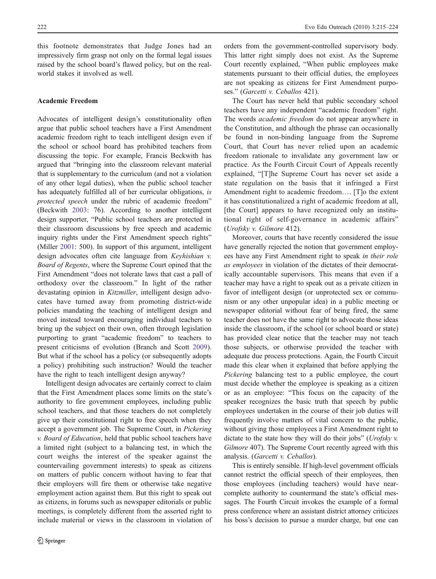this footnote demonstrates that Judge Jones had an impressively firm grasp not only on the formal legal issues raised by the school board's flawed policy, but on the realworld stakes it involved as well.

#### Academic Freedom

Advocates of intelligent design's constitutionality often argue that public school teachers have a First Amendment academic freedom right to teach intelligent design even if the school or school board has prohibited teachers from discussing the topic. For example, Francis Beckwith has argued that "bringing into the classroom relevant material that is supplementary to the curriculum (and not a violation of any other legal duties), when the public school teacher has adequately fulfilled all of her curricular obligations, is protected speech under the rubric of academic freedom" (Beckwith 2003: 76). According to another intelligent design supporter, "Public school teachers are protected in their classroom discussions by free speech and academic inquiry rights under the First Amendment speech rights" (Miller 2001: 500). In support of this argument, intelligent design advocates often cite language from Keyhishian v. Board of Regents, where the Supreme Court opined that the First Amendment "does not tolerate laws that cast a pall of orthodoxy over the classroom." In light of the rather devastating opinion in Kitzmiller, intelligent design advocates have turned away from promoting district-wide policies mandating the teaching of intelligent design and moved instead toward encouraging individual teachers to bring up the subject on their own, often through legislation purporting to grant "academic freedom" to teachers to present criticisms of evolution (Branch and Scott 2009). But what if the school has a policy (or subsequently adopts a policy) prohibiting such instruction? Would the teacher have the right to teach intelligent design anyway?

Intelligent design advocates are certainly correct to claim that the First Amendment places some limits on the state's authority to fire government employees, including public school teachers, and that those teachers do not completely give up their constitutional right to free speech when they accept a government job. The Supreme Court, in Pickering v. Board of Education, held that public school teachers have a limited right (subject to a balancing test, in which the court weighs the interest of the speaker against the countervailing government interests) to speak as citizens on matters of public concern without having to fear that their employers will fire them or otherwise take negative employment action against them. But this right to speak out as citizens, in forums such as newspaper editorials or public meetings, is completely different from the asserted right to include material or views in the classroom in violation of orders from the government-controlled supervisory body. This latter right simply does not exist. As the Supreme Court recently explained, "When public employees make statements pursuant to their official duties, the employees are not speaking as citizens for First Amendment purposes." (Garcetti v. Ceballos 421).

The Court has never held that public secondary school teachers have any independent "academic freedom" right. The words academic freedom do not appear anywhere in the Constitution, and although the phrase can occasionally be found in non-binding language from the Supreme Court, that Court has never relied upon an academic freedom rationale to invalidate any government law or practice. As the Fourth Circuit Court of Appeals recently explained, "[T]he Supreme Court has never set aside a state regulation on the basis that it infringed a First Amendment right to academic freedom…. [T]o the extent it has constitutionalized a right of academic freedom at all, [the Court] appears to have recognized only an institutional right of self-governance in academic affairs" (Urofsky v. Gilmore 412).

Moreover, courts that have recently considered the issue have generally rejected the notion that government employees have any First Amendment right to speak in their role as employees in violation of the dictates of their democratically accountable supervisors. This means that even if a teacher may have a right to speak out as a private citizen in favor of intelligent design (or unprotected sex or communism or any other unpopular idea) in a public meeting or newspaper editorial without fear of being fired, the same teacher does not have the same right to advocate those ideas inside the classroom, if the school (or school board or state) has provided clear notice that the teacher may not teach those subjects, or otherwise provided the teacher with adequate due process protections. Again, the Fourth Circuit made this clear when it explained that before applying the Pickering balancing test to a public employee, the court must decide whether the employee is speaking as a citizen or as an employee: "This focus on the capacity of the speaker recognizes the basic truth that speech by public employees undertaken in the course of their job duties will frequently involve matters of vital concern to the public, without giving those employees a First Amendment right to dictate to the state how they will do their jobs" (Urofsky v. Gilmore 407). The Supreme Court recently agreed with this analysis. (Garcetti v. Ceballos).

This is entirely sensible. If high-level government officials cannot restrict the official speech of their employees, then those employees (including teachers) would have nearcomplete authority to countermand the state's official messages. The Fourth Circuit invokes the example of a formal press conference where an assistant district attorney criticizes his boss's decision to pursue a murder charge, but one can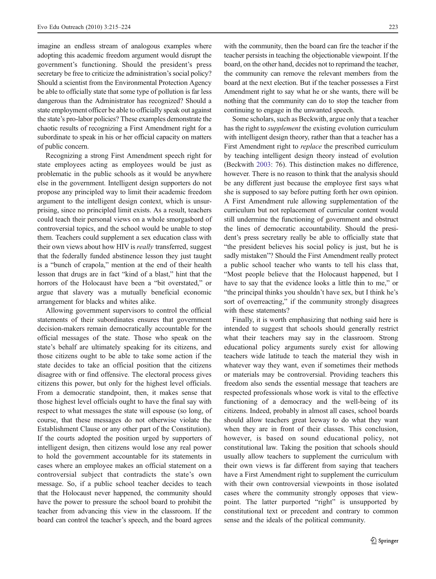imagine an endless stream of analogous examples where adopting this academic freedom argument would disrupt the government's functioning. Should the president's press secretary be free to criticize the administration's social policy? Should a scientist from the Environmental Protection Agency be able to officially state that some type of pollution is far less dangerous than the Administrator has recognized? Should a state employment officer be able to officially speak out against the state's pro-labor policies? These examples demonstrate the chaotic results of recognizing a First Amendment right for a subordinate to speak in his or her official capacity on matters of public concern.

Recognizing a strong First Amendment speech right for state employees acting as employees would be just as problematic in the public schools as it would be anywhere else in the government. Intelligent design supporters do not propose any principled way to limit their academic freedom argument to the intelligent design context, which is unsurprising, since no principled limit exists. As a result, teachers could teach their personal views on a whole smorgasbord of controversial topics, and the school would be unable to stop them. Teachers could supplement a sex education class with their own views about how HIV is *really* transferred, suggest that the federally funded abstinence lesson they just taught is a "bunch of crapola," mention at the end of their health lesson that drugs are in fact "kind of a blast," hint that the horrors of the Holocaust have been a "bit overstated," or argue that slavery was a mutually beneficial economic arrangement for blacks and whites alike.

Allowing government supervisors to control the official statements of their subordinates ensures that government decision-makers remain democratically accountable for the official messages of the state. Those who speak on the state's behalf are ultimately speaking for its citizens, and those citizens ought to be able to take some action if the state decides to take an official position that the citizens disagree with or find offensive. The electoral process gives citizens this power, but only for the highest level officials. From a democratic standpoint, then, it makes sense that those highest level officials ought to have the final say with respect to what messages the state will espouse (so long, of course, that these messages do not otherwise violate the Establishment Clause or any other part of the Constitution). If the courts adopted the position urged by supporters of intelligent design, then citizens would lose any real power to hold the government accountable for its statements in cases where an employee makes an official statement on a controversial subject that contradicts the state's own message. So, if a public school teacher decides to teach that the Holocaust never happened, the community should have the power to pressure the school board to prohibit the teacher from advancing this view in the classroom. If the board can control the teacher's speech, and the board agrees

with the community, then the board can fire the teacher if the teacher persists in teaching the objectionable viewpoint. If the board, on the other hand, decides not to reprimand the teacher, the community can remove the relevant members from the board at the next election. But if the teacher possesses a First Amendment right to say what he or she wants, there will be nothing that the community can do to stop the teacher from continuing to engage in the unwanted speech.

Some scholars, such as Beckwith, argue only that a teacher has the right to supplement the existing evolution curriculum with intelligent design theory, rather than that a teacher has a First Amendment right to replace the prescribed curriculum by teaching intelligent design theory instead of evolution (Beckwith 2003: 76). This distinction makes no difference, however. There is no reason to think that the analysis should be any different just because the employee first says what she is supposed to say before putting forth her own opinion. A First Amendment rule allowing supplementation of the curriculum but not replacement of curricular content would still undermine the functioning of government and obstruct the lines of democratic accountability. Should the president's press secretary really be able to officially state that "the president believes his social policy is just, but he is sadly mistaken"? Should the First Amendment really protect a public school teacher who wants to tell his class that, "Most people believe that the Holocaust happened, but I have to say that the evidence looks a little thin to me," or "the principal thinks you shouldn't have sex, but I think he's sort of overreacting," if the community strongly disagrees with these statements?

Finally, it is worth emphasizing that nothing said here is intended to suggest that schools should generally restrict what their teachers may say in the classroom. Strong educational policy arguments surely exist for allowing teachers wide latitude to teach the material they wish in whatever way they want, even if sometimes their methods or materials may be controversial. Providing teachers this freedom also sends the essential message that teachers are respected professionals whose work is vital to the effective functioning of a democracy and the well-being of its citizens. Indeed, probably in almost all cases, school boards should allow teachers great leeway to do what they want when they are in front of their classes. This conclusion, however, is based on sound educational policy, not constitutional law. Taking the position that schools should usually allow teachers to supplement the curriculum with their own views is far different from saying that teachers have a First Amendment right to supplement the curriculum with their own controversial viewpoints in those isolated cases where the community strongly opposes that viewpoint. The latter purported "right" is unsupported by constitutional text or precedent and contrary to common sense and the ideals of the political community.